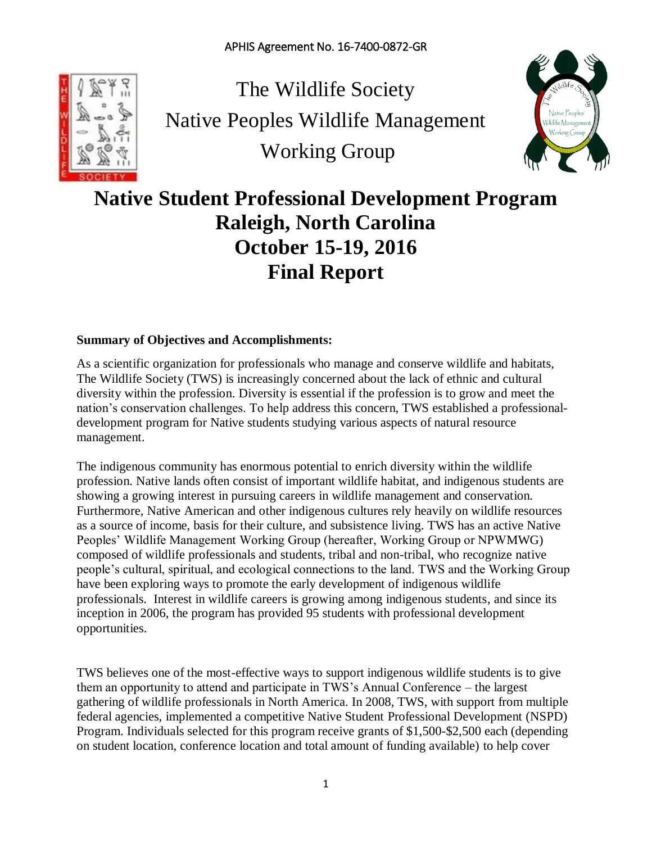

The Wildlife Society Native Peoples Wildlife Management Working Group



# **Native Student Professional Development Program Raleigh, North Carolina October 15-19, 2016 Final Report**

# **Summary of Objectives and Accomplishments:**

As a scientific organization for professionals who manage and conserve wildlife and habitats, The Wildlife Society (TWS) is increasingly concerned about the lack of ethnic and cultural diversity within the profession. Diversity is essential if the profession is to grow and meet the nation's conservation challenges. To help address this concern, TWS established a professionaldevelopment program for Native students studying various aspects of natural resource management.

The indigenous community has enormous potential to enrich diversity within the wildlife profession. Native lands often consist of important wildlife habitat, and indigenous students are showing a growing interest in pursuing careers in wildlife management and conservation. Furthermore, Native American and other indigenous cultures rely heavily on wildlife resources as a source of income, basis for their culture, and subsistence living. TWS has an active Native Peoples' Wildlife Management Working Group (hereafter, Working Group or NPWMWG) composed of wildlife professionals and students, tribal and non-tribal, who recognize native people's cultural, spiritual, and ecological connections to the land. TWS and the Working Group have been exploring ways to promote the early development of indigenous wildlife professionals. [Interest in wildlife careers is growing among indigenous students,](http://wildlife.org/wp-content/uploads/2016/11/A-Tribal-Model-of-Wildlife-Stewardship.Hoagland.TWP-10.6.pdf) and since its inception in 2006, the program has provided 95 students with professional development opportunities.

TWS believes one of the most-effective ways to support indigenous wildlife students is to give them an opportunity to attend and participate in TWS's Annual Conference – the largest gathering of wildlife professionals in North America. In 2008, TWS, with support from multiple federal agencies, implemented a competitive Native Student Professional Development (NSPD) Program. Individuals selected for this program receive grants of \$1,500-\$2,500 each (depending on student location, conference location and total amount of funding available) to help cover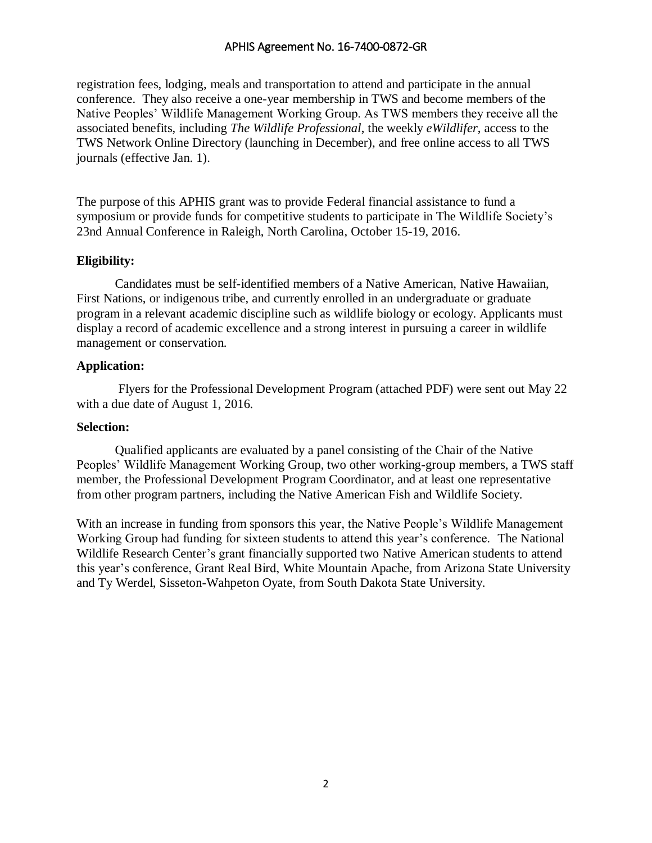registration fees, lodging, meals and transportation to attend and participate in the annual conference. They also receive a one-year membership in TWS and become members of the Native Peoples' Wildlife Management Working Group. As TWS members they receive all the associated benefits, including *The Wildlife Professional*, the weekly *eWildlifer*, access to the TWS Network Online Directory (launching in December), and free online access to all TWS journals (effective Jan. 1).

The purpose of this APHIS grant was to provide Federal financial assistance to fund a symposium or provide funds for competitive students to participate in The Wildlife Society's 23nd Annual Conference in Raleigh, North Carolina, October 15-19, 2016.

#### **Eligibility:**

Candidates must be self-identified members of a Native American, Native Hawaiian, First Nations, or indigenous tribe, and currently enrolled in an undergraduate or graduate program in a relevant academic discipline such as wildlife biology or ecology. Applicants must display a record of academic excellence and a strong interest in pursuing a career in wildlife management or conservation.

#### **Application:**

Flyers for the Professional Development Program (attached PDF) were sent out May 22 with a due date of August 1, 2016.

#### **Selection:**

Qualified applicants are evaluated by a panel consisting of the Chair of the Native Peoples' Wildlife Management Working Group, two other working-group members, a TWS staff member, the Professional Development Program Coordinator, and at least one representative from other program partners, including the Native American Fish and Wildlife Society.

With an increase in funding from sponsors this year, the Native People's Wildlife Management Working Group had funding for sixteen students to attend this year's conference. The National Wildlife Research Center's grant financially supported two Native American students to attend this year's conference, Grant Real Bird, White Mountain Apache, from Arizona State University and Ty Werdel, Sisseton-Wahpeton Oyate, from South Dakota State University.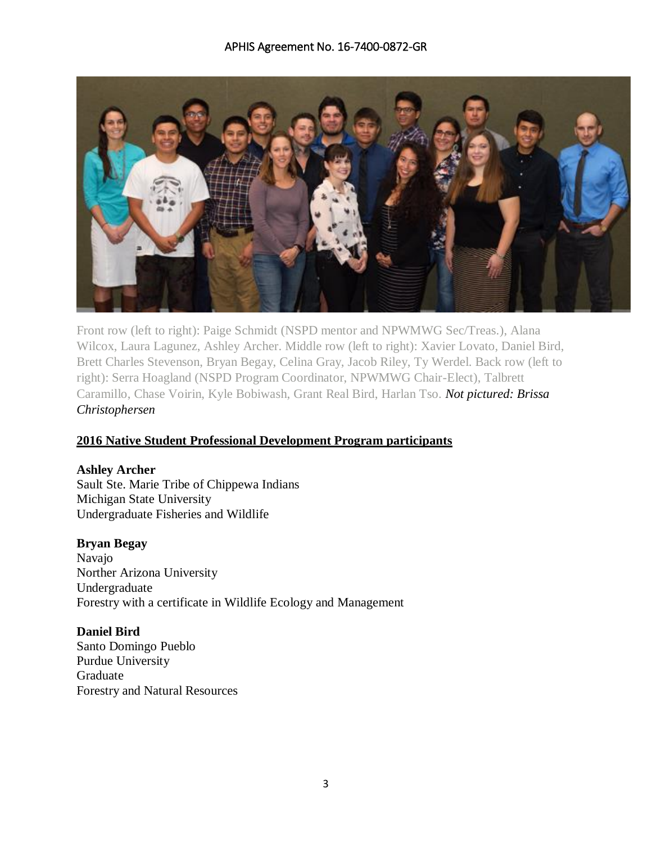

Front row (left to right): Paige Schmidt (NSPD mentor and NPWMWG Sec/Treas.), Alana Wilcox, Laura Lagunez, Ashley Archer. Middle row (left to right): Xavier Lovato, Daniel Bird, Brett Charles Stevenson, Bryan Begay, Celina Gray, Jacob Riley, Ty Werdel. Back row (left to right): Serra Hoagland (NSPD Program Coordinator, NPWMWG Chair-Elect), Talbrett Caramillo, Chase Voirin, Kyle Bobiwash, Grant Real Bird, Harlan Tso. *Not pictured: Brissa Christophersen*

# **2016 Native Student Professional Development Program participants**

# **Ashley Archer**

Sault Ste. Marie Tribe of Chippewa Indians Michigan State University Undergraduate Fisheries and Wildlife

#### **Bryan Begay**

Navajo Norther Arizona University Undergraduate Forestry with a certificate in Wildlife Ecology and Management

#### **Daniel Bird**

Santo Domingo Pueblo Purdue University Graduate Forestry and Natural Resources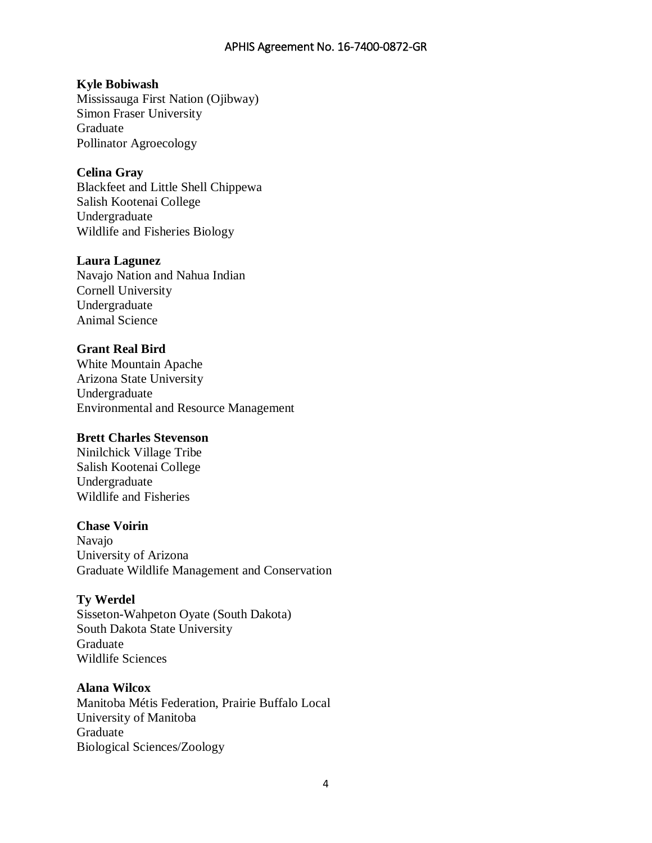# **Kyle Bobiwash**

Mississauga First Nation (Ojibway) Simon Fraser University Graduate Pollinator Agroecology

## **Celina Gray**

Blackfeet and Little Shell Chippewa Salish Kootenai College Undergraduate Wildlife and Fisheries Biology

#### **Laura Lagunez**

Navajo Nation and Nahua Indian Cornell University Undergraduate Animal Science

#### **Grant Real Bird**

White Mountain Apache Arizona State University Undergraduate Environmental and Resource Management

#### **Brett Charles Stevenson**

Ninilchick Village Tribe Salish Kootenai College Undergraduate Wildlife and Fisheries

#### **Chase Voirin**

Navajo University of Arizona Graduate Wildlife Management and Conservation

#### **Ty Werdel**

Sisseton-Wahpeton Oyate (South Dakota) South Dakota State University Graduate Wildlife Sciences

# **Alana Wilcox**

Manitoba Métis Federation, Prairie Buffalo Local University of Manitoba Graduate Biological Sciences/Zoology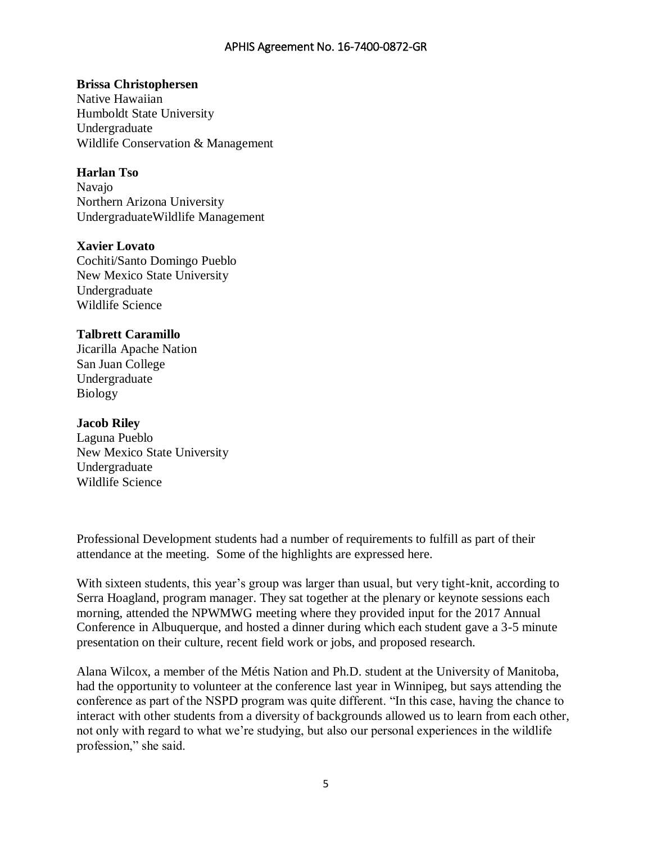## **Brissa Christophersen**

Native Hawaiian Humboldt State University Undergraduate Wildlife Conservation & Management

# **Harlan Tso**

Navajo Northern Arizona University UndergraduateWildlife Management

#### **Xavier Lovato**

Cochiti/Santo Domingo Pueblo New Mexico State University Undergraduate Wildlife Science

#### **Talbrett Caramillo**

Jicarilla Apache Nation San Juan College Undergraduate Biology

#### **Jacob Riley**

Laguna Pueblo New Mexico State University Undergraduate Wildlife Science

Professional Development students had a number of requirements to fulfill as part of their attendance at the meeting. Some of the highlights are expressed here.

With sixteen students, this year's group was larger than usual, but very tight-knit, according to Serra Hoagland, program manager. They sat together at the plenary or keynote sessions each morning, attended the NPWMWG meeting where they provided input for the 2017 Annual Conference in Albuquerque, and hosted a dinner during which each student gave a 3-5 minute presentation on their culture, recent field work or jobs, and proposed research.

Alana Wilcox, a member of the Métis Nation and Ph.D. student at the University of Manitoba, had the opportunity to volunteer at the conference last year in Winnipeg, but says attending the conference as part of the NSPD program was quite different. "In this case, having the chance to interact with other students from a diversity of backgrounds allowed us to learn from each other, not only with regard to what we're studying, but also our personal experiences in the wildlife profession," she said.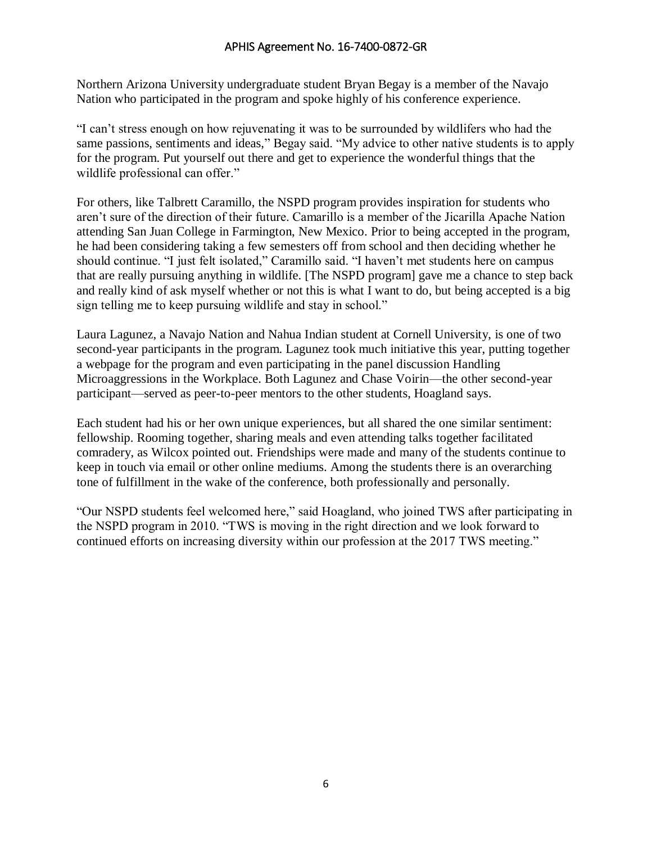Northern Arizona University undergraduate student Bryan Begay is a member of the Navajo Nation who participated in the program and spoke highly of his conference experience.

"I can't stress enough on how rejuvenating it was to be surrounded by wildlifers who had the same passions, sentiments and ideas," Begay said. "My advice to other native students is to apply for the program. Put yourself out there and get to experience the wonderful things that the wildlife professional can offer."

For others, like Talbrett Caramillo, the NSPD program provides inspiration for students who aren't sure of the direction of their future. Camarillo is a member of the Jicarilla Apache Nation attending San Juan College in Farmington, New Mexico. Prior to being accepted in the program, he had been considering taking a few semesters off from school and then deciding whether he should continue. "I just felt isolated," Caramillo said. "I haven't met students here on campus that are really pursuing anything in wildlife. [The NSPD program] gave me a chance to step back and really kind of ask myself whether or not this is what I want to do, but being accepted is a big sign telling me to keep pursuing wildlife and stay in school."

Laura Lagunez, a Navajo Nation and Nahua Indian student at Cornell University, is one of two second-year participants in the program. Lagunez took much initiative this year, putting together a webpage for the program and even participating in the panel discussion Handling Microaggressions in the Workplace. Both Lagunez and Chase Voirin—the other second-year participant—served as peer-to-peer mentors to the other students, Hoagland says.

Each student had his or her own unique experiences, but all shared the one similar sentiment: fellowship. Rooming together, sharing meals and even attending talks together facilitated comradery, as Wilcox pointed out. Friendships were made and many of the students continue to keep in touch via email or other online mediums. Among the students there is an overarching tone of fulfillment in the wake of the conference, both professionally and personally.

"Our NSPD students feel welcomed here," said Hoagland, who joined TWS after participating in the NSPD program in 2010. "TWS is moving in the right direction and we look forward to continued efforts on increasing diversity within our profession at the 2017 TWS meeting."